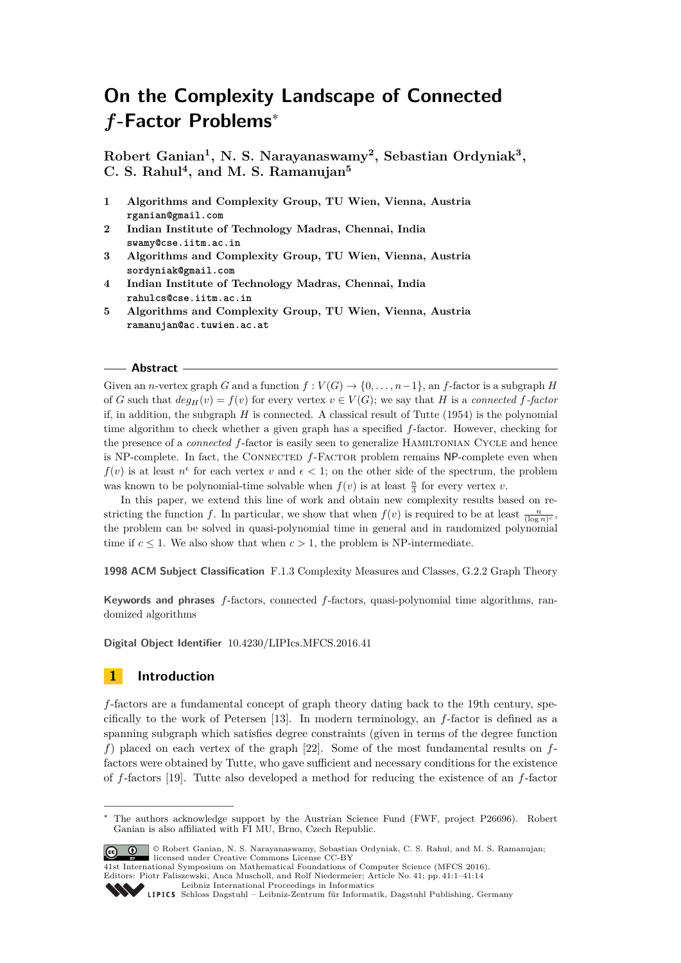# **On the Complexity Landscape of Connected** *f***-Factor Problems**<sup>∗</sup>

**Robert Ganian<sup>1</sup> , N. S. Narayanaswamy<sup>2</sup> , Sebastian Ordyniak<sup>3</sup> , C. S. Rahul<sup>4</sup> , and M. S. Ramanujan<sup>5</sup>**

- **1 Algorithms and Complexity Group, TU Wien, Vienna, Austria rganian@gmail.com**
- **2 Indian Institute of Technology Madras, Chennai, India swamy@cse.iitm.ac.in**
- **3 Algorithms and Complexity Group, TU Wien, Vienna, Austria sordyniak@gmail.com**
- **4 Indian Institute of Technology Madras, Chennai, India rahulcs@cse.iitm.ac.in**
- **5 Algorithms and Complexity Group, TU Wien, Vienna, Austria ramanujan@ac.tuwien.ac.at**

### **Abstract**

Given an *n*-vertex graph *G* and a function  $f: V(G) \to \{0, \ldots, n-1\}$ , an *f*-factor is a subgraph *H* of *G* such that  $deg_H(v) = f(v)$  for every vertex  $v \in V(G)$ ; we say that *H* is a *connected f*-factor if, in addition, the subgraph  $H$  is connected. A classical result of Tutte  $(1954)$  is the polynomial time algorithm to check whether a given graph has a specified *f*-factor. However, checking for the presence of a *connected* f-factor is easily seen to generalize HAMILTONIAN CYCLE and hence is NP-complete. In fact, the CONNECTED  $f$ -FACTOR problem remains NP-complete even when  $f(v)$  is at least  $n^{\epsilon}$  for each vertex *v* and  $\epsilon$  < 1; on the other side of the spectrum, the problem was known to be polynomial-time solvable when  $f(v)$  is at least  $\frac{n}{3}$  for every vertex *v*.

In this paper, we extend this line of work and obtain new complexity results based on restricting the function *f*. In particular, we show that when  $f(v)$  is required to be at least  $\frac{n}{(\log n)^c}$ , the problem can be solved in quasi-polynomial time in general and in randomized polynomial time if  $c \leq 1$ . We also show that when  $c > 1$ , the problem is NP-intermediate.

**1998 ACM Subject Classification** F.1.3 Complexity Measures and Classes, G.2.2 Graph Theory

**Keywords and phrases** *f*-factors, connected *f*-factors, quasi-polynomial time algorithms, randomized algorithms

**Digital Object Identifier** [10.4230/LIPIcs.MFCS.2016.41](http://dx.doi.org/10.4230/LIPIcs.MFCS.2016.41)

# **1 Introduction**

*f*-factors are a fundamental concept of graph theory dating back to the 19th century, specifically to the work of Petersen [\[13\]](#page-12-0). In modern terminology, an *f*-factor is defined as a spanning subgraph which satisfies degree constraints (given in terms of the degree function *f*) placed on each vertex of the graph [\[22\]](#page-13-0). Some of the most fundamental results on *f*factors were obtained by Tutte, who gave sufficient and necessary conditions for the existence of *f*-factors [\[19\]](#page-13-1). Tutte also developed a method for reducing the existence of an *f*-factor

The authors acknowledge support by the Austrian Science Fund (FWF, project P26696). Robert Ganian is also affiliated with FI MU, Brno, Czech Republic.



© Robert Ganian, N. S. Narayanaswamy, Sebastian Ordyniak, C. S. Rahul, and M. S. Ramanujan; licensed under Creative Commons License CC-BY

41st International Symposium on Mathematical Foundations of Computer Science (MFCS 2016). Editors: Piotr Faliszewski, Anca Muscholl, and Rolf Niedermeier; Article No. 41; pp. 41:1–41[:14](#page-13-2)

[Leibniz International Proceedings in Informatics](http://www.dagstuhl.de/lipics/)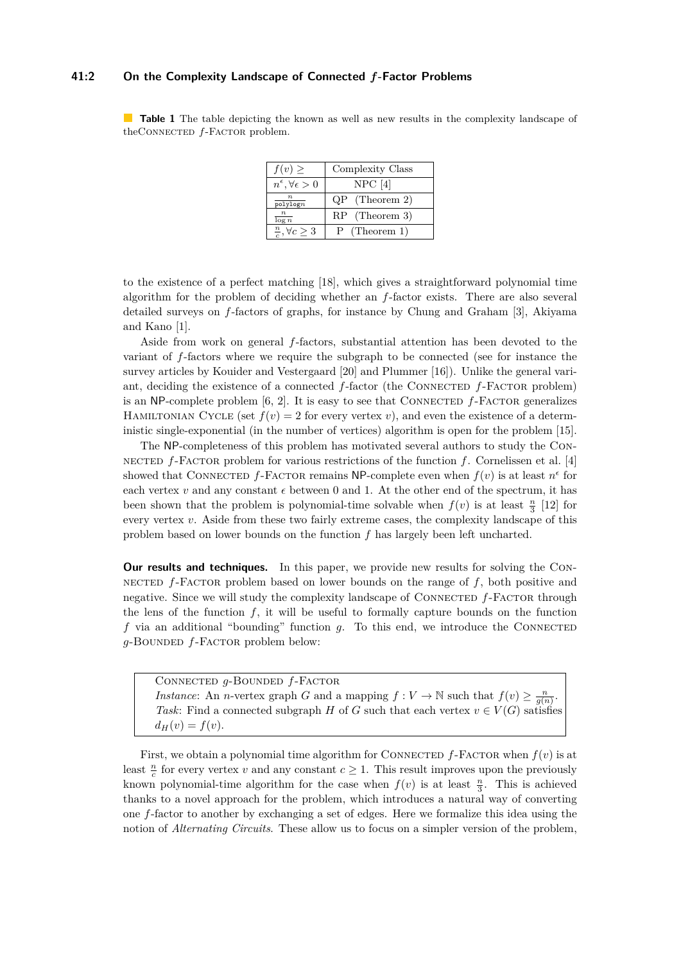### **41:2 On the Complexity Landscape of Connected** *f***-Factor Problems**

<span id="page-1-0"></span>**Table 1** The table depicting the known as well as new results in the complexity landscape of theCONNECTED  $f$ -Factor problem.

| $f(v) \geq$                          | Complexity Class |
|--------------------------------------|------------------|
| $n^{\epsilon}, \forall \epsilon > 0$ | $NPC$ [4]        |
| $\frac{n}{\text{polylog} n}$         | $QP$ (Theorem 2) |
| $\frac{n}{\log n}$                   | $RP$ (Theorem 3) |
| $\frac{n}{c}, \forall c \geq 3$      | $P$ (Theorem 1)  |

to the existence of a perfect matching [\[18\]](#page-12-2), which gives a straightforward polynomial time algorithm for the problem of deciding whether an *f*-factor exists. There are also several detailed surveys on *f*-factors of graphs, for instance by Chung and Graham [\[3\]](#page-12-3), Akiyama and Kano [\[1\]](#page-12-4).

Aside from work on general *f*-factors, substantial attention has been devoted to the variant of *f*-factors where we require the subgraph to be connected (see for instance the survey articles by Kouider and Vestergaard [\[20\]](#page-13-3) and Plummer [\[16\]](#page-12-5)). Unlike the general variant, deciding the existence of a connected *f*-factor (the CONNECTED *f*-FACTOR problem) is an NP-complete problem  $[6, 2]$  $[6, 2]$ . It is easy to see that CONNECTED  $f$ -FACTOR generalizes HAMILTONIAN CYCLE (set  $f(v) = 2$  for every vertex *v*), and even the existence of a deterministic single-exponential (in the number of vertices) algorithm is open for the problem [\[15\]](#page-12-8).

The NP-completeness of this problem has motivated several authors to study the Connected *f*-Factor problem for various restrictions of the function *f*. Cornelissen et al. [\[4\]](#page-12-1) showed that CONNECTED  $f$ -FACTOR remains NP-complete even when  $f(v)$  is at least  $n^{\epsilon}$  for each vertex *v* and any constant  $\epsilon$  between 0 and 1. At the other end of the spectrum, it has been shown that the problem is polynomial-time solvable when  $f(v)$  is at least  $\frac{n}{3}$  [\[12\]](#page-12-9) for every vertex *v*. Aside from these two fairly extreme cases, the complexity landscape of this problem based on lower bounds on the function *f* has largely been left uncharted.

**Our results and techniques.** In this paper, we provide new results for solving the Connected *f*-Factor problem based on lower bounds on the range of *f*, both positive and negative. Since we will study the complexity landscape of CONNECTED  $f$ -FACTOR through the lens of the function  $f$ , it will be useful to formally capture bounds on the function *f* via an additional "bounding" function *g*. To this end, we introduce the CONNECTED *g*-Bounded *f*-Factor problem below:

Connected *g*-Bounded *f*-Factor *Instance*: An *n*-vertex graph *G* and a mapping  $f: V \to \mathbb{N}$  such that  $f(v) \geq \frac{n}{g(n)}$ . *Task*: Find a connected subgraph *H* of *G* such that each vertex  $v \in V(G)$  satisfies  $d_H(v) = f(v)$ .

First, we obtain a polynomial time algorithm for CONNECTED  $f$ -FACTOR when  $f(v)$  is at least  $\frac{n}{c}$  for every vertex *v* and any constant  $c \geq 1$ . This result improves upon the previously known polynomial-time algorithm for the case when  $f(v)$  is at least  $\frac{n}{3}$ . This is achieved thanks to a novel approach for the problem, which introduces a natural way of converting one *f*-factor to another by exchanging a set of edges. Here we formalize this idea using the notion of *Alternating Circuits*. These allow us to focus on a simpler version of the problem,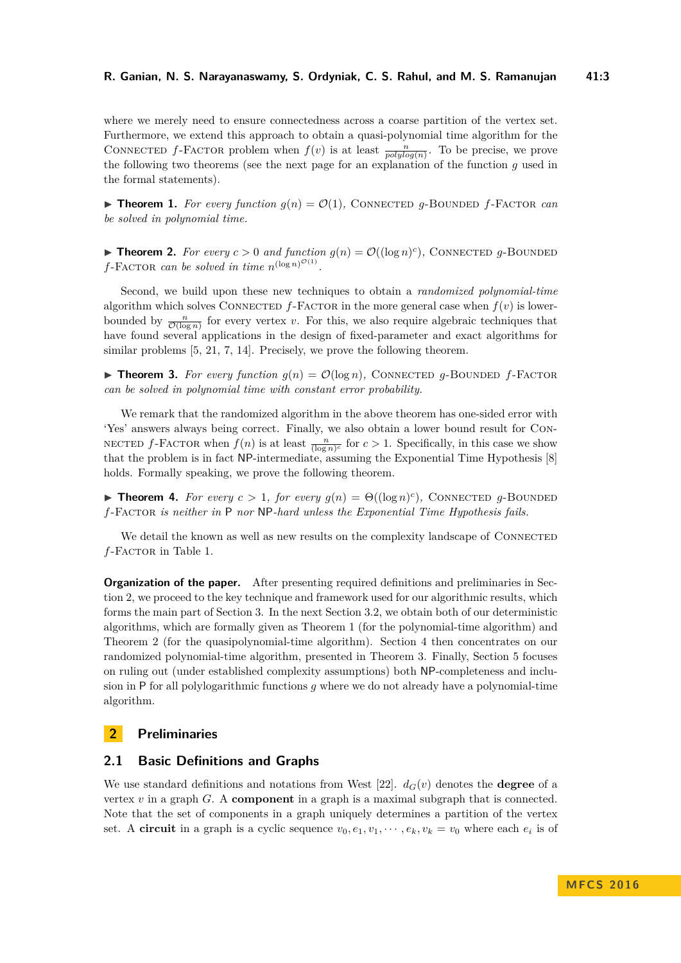where we merely need to ensure connectedness across a coarse partition of the vertex set. Furthermore, we extend this approach to obtain a quasi-polynomial time algorithm for the CONNECTED *f*-FACTOR problem when  $f(v)$  is at least  $\frac{n}{polylog(n)}$ . To be precise, we prove the following two theorems (see the next page for an explanation of the function *g* used in the formal statements).

<span id="page-2-2"></span>**Find 1.** For every function  $g(n) = \mathcal{O}(1)$ , CONNECTED g-BOUNDED f-FACTOR can *be solved in polynomial time.*

<span id="page-2-0"></span>**Fineorem 2.** For every  $c > 0$  and function  $g(n) = \mathcal{O}((\log n)^c)$ , CONNECTED g-BOUNDED  $f$ -FACTOR *can be solved in time*  $n^{(\log n)^{\mathcal{O}(1)}}$ .

Second, we build upon these new techniques to obtain a *randomized polynomial-time* algorithm which solves CONNECTED  $f$ -FACTOR in the more general case when  $f(v)$  is lowerbounded by  $\frac{n}{\mathcal{O}(\log n)}$  for every vertex *v*. For this, we also require algebraic techniques that have found several applications in the design of fixed-parameter and exact algorithms for similar problems  $[5, 21, 7, 14]$  $[5, 21, 7, 14]$  $[5, 21, 7, 14]$  $[5, 21, 7, 14]$ . Precisely, we prove the following theorem.

<span id="page-2-1"></span>**Find Theorem 3.** For every function  $q(n) = \mathcal{O}(\log n)$ , CONNECTED q-BOUNDED f-FACTOR *can be solved in polynomial time with constant error probability.*

We remark that the randomized algorithm in the above theorem has one-sided error with 'Yes' answers always being correct. Finally, we also obtain a lower bound result for Con-NECTED  $f$ -FACTOR when  $f(n)$  is at least  $\frac{n}{(\log n)^c}$  for  $c > 1$ . Specifically, in this case we show that the problem is in fact NP-intermediate, assuming the Exponential Time Hypothesis [\[8\]](#page-12-13) holds. Formally speaking, we prove the following theorem.

<span id="page-2-4"></span>**Fineorem 4.** For every  $c > 1$ , for every  $g(n) = \Theta((\log n)^c)$ , CONNECTED g-BOUNDED *f*-Factor *is neither in* P *nor* NP*-hard unless the Exponential Time Hypothesis fails.*

We detail the known as well as new results on the complexity landscape of CONNECTED *f*-Factor in Table [1.](#page-1-0)

**Organization of the paper.** After presenting required definitions and preliminaries in Section [2,](#page-2-3) we proceed to the key technique and framework used for our algorithmic results, which forms the main part of Section [3.](#page-3-0) In the next Section [3.2,](#page-6-0) we obtain both of our deterministic algorithms, which are formally given as Theorem [1](#page-2-2) (for the polynomial-time algorithm) and Theorem [2](#page-2-0) (for the quasipolynomial-time algorithm). Section [4](#page-6-1) then concentrates on our randomized polynomial-time algorithm, presented in Theorem [3.](#page-2-1) Finally, Section [5](#page-11-0) focuses on ruling out (under established complexity assumptions) both NP-completeness and inclusion in P for all polylogarithmic functions *g* where we do not already have a polynomial-time algorithm.

# <span id="page-2-3"></span>**2 Preliminaries**

### **2.1 Basic Definitions and Graphs**

We use standard definitions and notations from West [\[22\]](#page-13-0).  $d_G(v)$  denotes the **degree** of a vertex *v* in a graph *G*. A **component** in a graph is a maximal subgraph that is connected. Note that the set of components in a graph uniquely determines a partition of the vertex set. A **circuit** in a graph is a cyclic sequence  $v_0, e_1, v_1, \dots, e_k, v_k = v_0$  where each  $e_i$  is of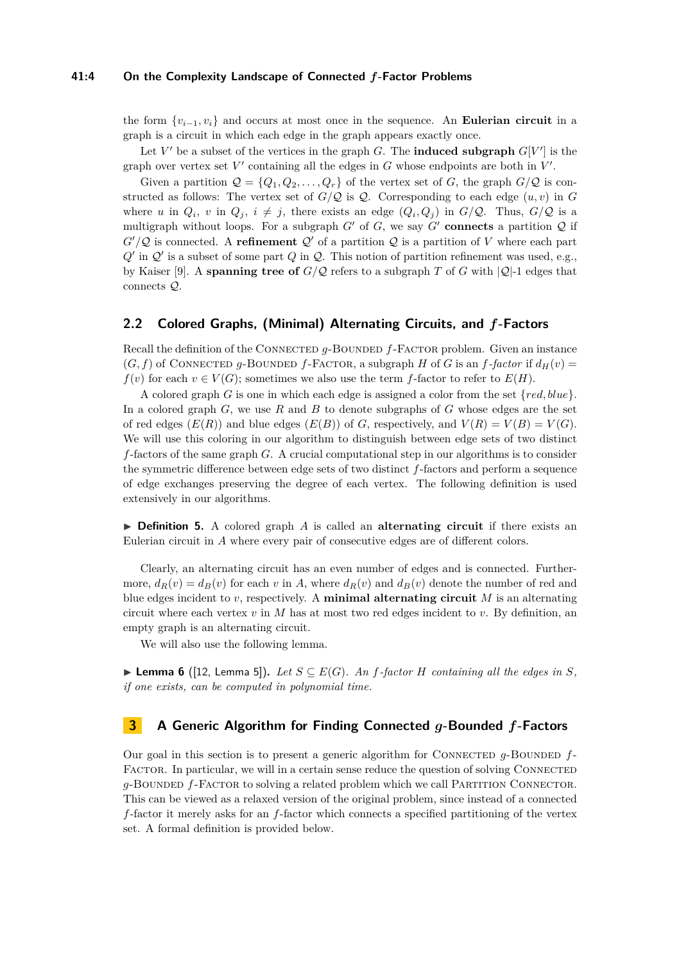#### **41:4 On the Complexity Landscape of Connected** *f***-Factor Problems**

the form  $\{v_{i-1}, v_i\}$  and occurs at most once in the sequence. An **Eulerian circuit** in a graph is a circuit in which each edge in the graph appears exactly once.

Let  $V'$  be a subset of the vertices in the graph *G*. The **induced subgraph**  $G[V']$  is the graph over vertex set  $V'$  containing all the edges in  $G$  whose endpoints are both in  $V'$ .

Given a partition  $\mathcal{Q} = \{Q_1, Q_2, \ldots, Q_r\}$  of the vertex set of *G*, the graph  $G/\mathcal{Q}$  is constructed as follows: The vertex set of  $G/Q$  is  $Q$ . Corresponding to each edge  $(u, v)$  in  $G$ where *u* in  $Q_i$ , *v* in  $Q_j$ ,  $i \neq j$ , there exists an edge  $(Q_i, Q_j)$  in  $G/Q$ . Thus,  $G/Q$  is a multigraph without loops. For a subgraph  $G'$  of  $G$ , we say  $G'$  **connects** a partition  $Q$  if  $G'/\mathcal{Q}$  is connected. A **refinement**  $\mathcal{Q}'$  of a partition  $\mathcal{Q}$  is a partition of *V* where each part  $Q'$  in  $Q'$  is a subset of some part  $Q$  in  $Q$ . This notion of partition refinement was used, e.g., by Kaiser [\[9\]](#page-12-14). A **spanning tree of**  $G/Q$  refers to a subgraph *T* of *G* with  $|Q|-1$  edges that connects Q.

# **2.2 Colored Graphs, (Minimal) Alternating Circuits, and** *f***-Factors**

Recall the definition of the CONNECTED *g*-BOUNDED *f*-FACTOR problem. Given an instance  $(G, f)$  of CONNECTED g-BOUNDED f-FACTOR, a subgraph *H* of *G* is an *f*-factor if  $d_H(v)$ *f*(*v*) for each *v* ∈ *V*(*G*); sometimes we also use the term *f*-factor to refer to *E*(*H*).

A colored graph *G* is one in which each edge is assigned a color from the set {*red, blue*}. In a colored graph *G*, we use *R* and *B* to denote subgraphs of *G* whose edges are the set of red edges  $(E(R))$  and blue edges  $(E(B))$  of *G*, respectively, and  $V(R) = V(B) = V(G)$ . We will use this coloring in our algorithm to distinguish between edge sets of two distinct *f*-factors of the same graph *G*. A crucial computational step in our algorithms is to consider the symmetric difference between edge sets of two distinct *f*-factors and perform a sequence of edge exchanges preserving the degree of each vertex. The following definition is used extensively in our algorithms.

▶ **Definition 5.** A colored graph *A* is called an **alternating circuit** if there exists an Eulerian circuit in *A* where every pair of consecutive edges are of different colors.

Clearly, an alternating circuit has an even number of edges and is connected. Furthermore,  $d_R(v) = d_R(v)$  for each v in A, where  $d_R(v)$  and  $d_R(v)$  denote the number of red and blue edges incident to *v*, respectively. A **minimal alternating circuit** *M* is an alternating circuit where each vertex  $v$  in  $M$  has at most two red edges incident to  $v$ . By definition, an empty graph is an alternating circuit.

We will also use the following lemma.

<span id="page-3-1"></span>▶ **Lemma 6** ([\[12,](#page-12-9) Lemma 5]). Let  $S \subseteq E(G)$ . An *f*-factor *H* containing all the edges in *S*, *if one exists, can be computed in polynomial time.*

## <span id="page-3-0"></span>**3 A Generic Algorithm for Finding Connected** *g***-Bounded** *f***-Factors**

Our goal in this section is to present a generic algorithm for CONNECTED  $g$ -BOUNDED  $f$ -FACTOR. In particular, we will in a certain sense reduce the question of solving CONNECTED *g*-BOUNDED *f*-FACTOR to solving a related problem which we call PARTITION CONNECTOR. This can be viewed as a relaxed version of the original problem, since instead of a connected *f*-factor it merely asks for an *f*-factor which connects a specified partitioning of the vertex set. A formal definition is provided below.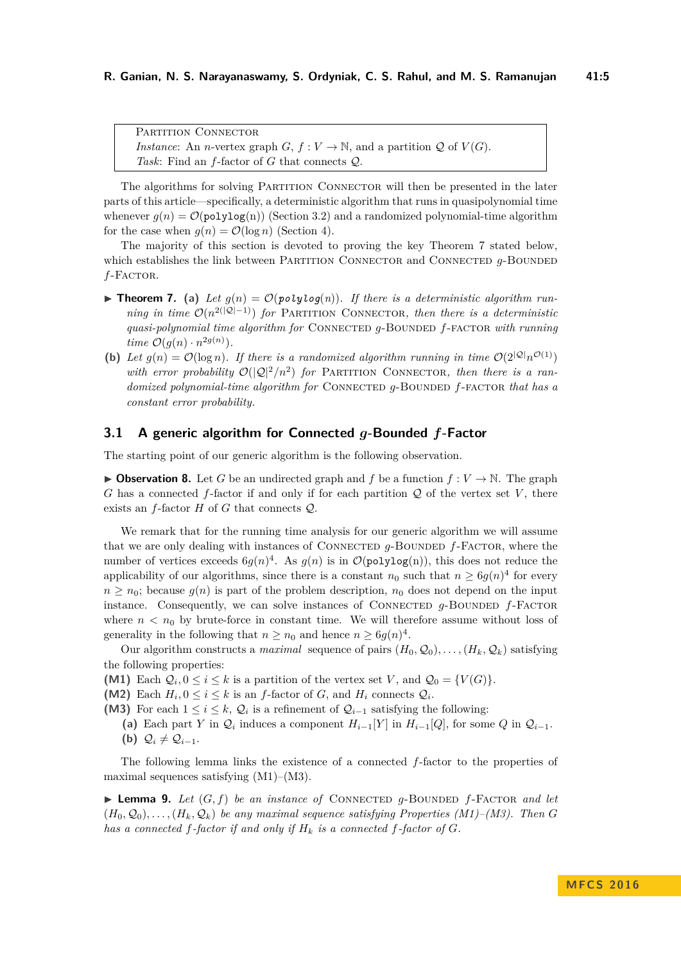PARTITION CONNECTOR *Instance*: An *n*-vertex graph *G*,  $f: V \to \mathbb{N}$ , and a partition *Q* of *V*(*G*). *Task*: Find an *f*-factor of *G* that connects Q.

The algorithms for solving PARTITION CONNECTOR will then be presented in the later parts of this article—specifically, a deterministic algorithm that runs in quasipolynomial time whenever  $g(n) = \mathcal{O}(\text{polylog}(n))$  (Section [3.2\)](#page-6-0) and a randomized polynomial-time algorithm for the case when  $g(n) = \mathcal{O}(\log n)$  (Section [4\)](#page-6-1).

The majority of this section is devoted to proving the key Theorem [7](#page-4-0) stated below, which establishes the link between PARTITION CONNECTOR and CONNECTED  $q$ -BOUNDED *f*-Factor.

- **Figure 7.** (a) Let  $q(n) = \mathcal{O}(polylog(n))$ . If there is a deterministic algorithm run*ning in time*  $\mathcal{O}(n^{2(|\mathcal{Q}|-1)})$  *for* PARTITION CONNECTOR, then there is a deterministic *quasi-polynomial time algorithm for* Connected *g*-Bounded *f*-factor *with running time*  $\mathcal{O}(g(n) \cdot n^{2g(n)})$ *.*
- <span id="page-4-0"></span>**(b)** Let  $g(n) = \mathcal{O}(\log n)$ . If there is a randomized algorithm running in time  $\mathcal{O}(2^{|\mathcal{Q}|}n^{\mathcal{O}(1)})$ with error probability  $\mathcal{O}(|\mathcal{Q}|^2/n^2)$  for PARTITION CONNECTOR, then there is a ran*domized polynomial-time algorithm for* CONNECTED  $q$ -BOUNDED  $f$ -FACTOR that has a *constant error probability.*

### **3.1 A generic algorithm for Connected** *g***-Bounded** *f***-Factor**

The starting point of our generic algorithm is the following observation.

<span id="page-4-1"></span>**• Observation 8.** Let *G* be an undirected graph and *f* be a function  $f: V \to \mathbb{N}$ . The graph *G* has a connected *f*-factor if and only if for each partition  $Q$  of the vertex set *V*, there exists an *f*-factor *H* of *G* that connects Q.

We remark that for the running time analysis for our generic algorithm we will assume that we are only dealing with instances of CONNECTED *q*-BOUNDED *f*-FACTOR, where the number of vertices exceeds  $6g(n)^4$ . As  $g(n)$  is in  $\mathcal{O}(\text{polylog}(n))$ , this does not reduce the applicability of our algorithms, since there is a constant  $n_0$  such that  $n \geq 6g(n)^4$  for every  $n \geq n_0$ ; because  $g(n)$  is part of the problem description,  $n_0$  does not depend on the input instance. Consequently, we can solve instances of CONNECTED  $g$ -BOUNDED  $f$ -FACTOR where  $n < n_0$  by brute-force in constant time. We will therefore assume without loss of generality in the following that  $n \ge n_0$  and hence  $n \ge \frac{6g(n)^4}{n}$ .

Our algorithm constructs a *maximal* sequence of pairs  $(H_0, Q_0), \ldots, (H_k, Q_k)$  satisfying the following properties:

- **(M1)** Each  $\mathcal{Q}_i$ ,  $0 \leq i \leq k$  is a partition of the vertex set *V*, and  $\mathcal{Q}_0 = \{V(G)\}.$
- (M2) Each  $H_i$ ,  $0 \le i \le k$  is an *f*-factor of *G*, and  $H_i$  connects  $Q_i$ .
- **(M3)** For each  $1 \leq i \leq k$ ,  $\mathcal{Q}_i$  is a refinement of  $\mathcal{Q}_{i-1}$  satisfying the following:
	- (a) Each part *Y* in  $\mathcal{Q}_i$  induces a component  $H_{i-1}[Y]$  in  $H_{i-1}[Q]$ , for some  $Q$  in  $\mathcal{Q}_{i-1}$ . **(b)**  $\mathcal{Q}_i \neq \mathcal{Q}_{i-1}$ .

The following lemma links the existence of a connected *f*-factor to the properties of maximal sequences satisfying (M1)–(M3).

 $\blacktriangleright$  **Lemma 9.** Let  $(G, f)$  be an instance of CONNECTED q-BOUNDED f-FACTOR and let  $(H_0, \mathcal{Q}_0), \ldots, (H_k, \mathcal{Q}_k)$  *be any maximal sequence satisfying Properties (M1)–(M3). Then G has a connected*  $f$ *-factor if and only if*  $H_k$  *is a connected*  $f$ *-factor of*  $G$ *.*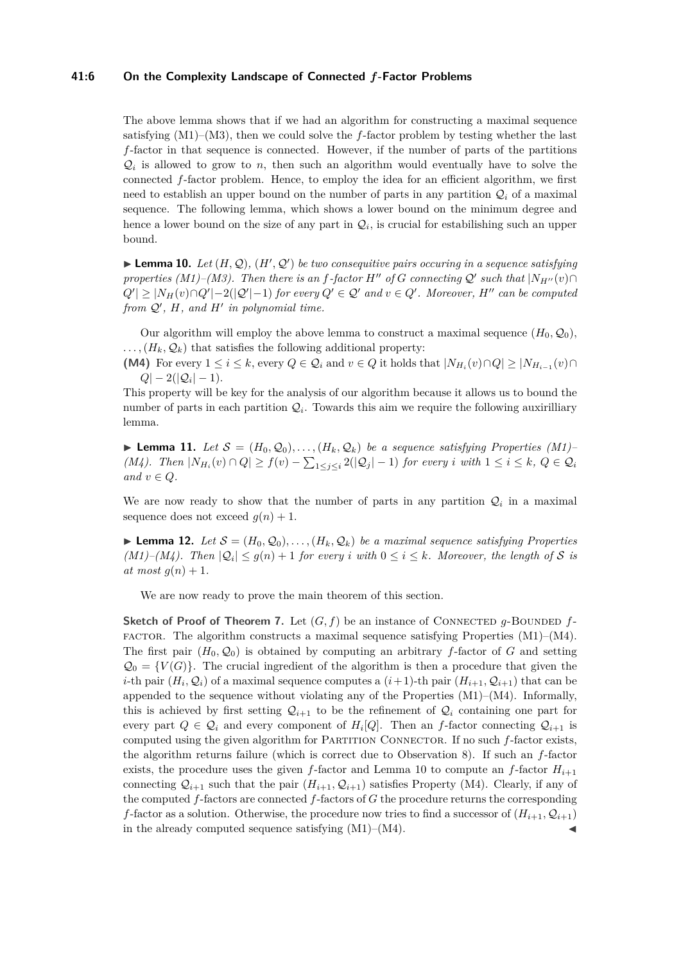#### **41:6 On the Complexity Landscape of Connected** *f***-Factor Problems**

The above lemma shows that if we had an algorithm for constructing a maximal sequence satisfying  $(M1)$ – $(M3)$ , then we could solve the *f*-factor problem by testing whether the last *f*-factor in that sequence is connected. However, if the number of parts of the partitions  $\mathcal{Q}_i$  is allowed to grow to *n*, then such an algorithm would eventually have to solve the connected *f*-factor problem. Hence, to employ the idea for an efficient algorithm, we first need to establish an upper bound on the number of parts in any partition  $\mathcal{Q}_i$  of a maximal sequence. The following lemma, which shows a lower bound on the minimum degree and hence a lower bound on the size of any part in  $\mathcal{Q}_i$ , is crucial for estabilishing such an upper bound.

<span id="page-5-0"></span> $\blacktriangleright$  **Lemma 10.** *Let*  $(H, Q)$ ,  $(H', Q')$  *be two consequitive pairs occuring in a sequence satisfying properties*  $(M1)–(M3)$ . Then there is an *f-factor*  $H''$  of *G* connecting  $Q'$  such that  $|N_{H''}(v) \cap$  $|Q'| \geq |N_H(v) \cap Q'|-2(|Q'|-1)$  *for every*  $Q' \in Q'$  *and*  $v \in Q'$ . Moreover,  $H''$  can be computed from  $Q'$ ,  $H$ , and  $H'$  in polynomial time.

Our algorithm will employ the above lemma to construct a maximal sequence  $(H_0, \mathcal{Q}_0)$ ,  $\ldots$ ,  $(H_k, \mathcal{Q}_k)$  that satisfies the following additional property:

**(M4)** For every  $1 \leq i \leq k$ , every  $Q \in \mathcal{Q}_i$  and  $v \in Q$  it holds that  $|N_{H_i}(v) \cap Q| \geq |N_{H_{i-1}}(v) \cap Q|$  $Q|-2(|\mathcal{Q}_i|-1).$ 

This property will be key for the analysis of our algorithm because it allows us to bound the number of parts in each partition  $\mathcal{Q}_i$ . Towards this aim we require the following auxirilliary lemma.

▶ **Lemma 11.** *Let*  $S = (H_0, Q_0), \ldots, (H_k, Q_k)$  *be a sequence satisfying Properties (M1) (M4). Then*  $|N_{H_i}(v) \cap Q| \ge f(v) - \sum_{1 \le j \le i} 2(|Q_j| - 1)$  *for every i with*  $1 \le i \le k$ *,*  $Q \in Q_i$ *and*  $v \in Q$ *.* 

We are now ready to show that the number of parts in any partition  $\mathcal{Q}_i$  in a maximal sequence does not exceed  $q(n) + 1$ .

 $\blacktriangleright$  **Lemma 12.** Let  $\mathcal{S} = (H_0, \mathcal{Q}_0), \ldots, (H_k, \mathcal{Q}_k)$  be a maximal sequence satisfying Properties *(M1)–(M4). Then*  $|Q_i| \leq g(n) + 1$  *for every i with*  $0 \leq i \leq k$ *. Moreover, the length of* S *is*  $at most q(n) + 1.$ 

We are now ready to prove the main theorem of this section.

**Sketch of Proof of Theorem [7.](#page-4-0)** Let  $(G, f)$  be an instance of CONNECTED *g*-BOUNDED  $f$ - $FACTOR.$  The algorithm constructs a maximal sequence satisfying Properties  $(M1)–(M4)$ . The first pair  $(H_0, Q_0)$  is obtained by computing an arbitrary *f*-factor of *G* and setting  $\mathcal{Q}_0 = \{V(G)\}\.$  The crucial ingredient of the algorithm is then a procedure that given the *i*-th pair  $(H_i, \mathcal{Q}_i)$  of a maximal sequence computes a  $(i+1)$ -th pair  $(H_{i+1}, \mathcal{Q}_{i+1})$  that can be appended to the sequence without violating any of the Properties  $(M1)–(M4)$ . Informally, this is achieved by first setting  $\mathcal{Q}_{i+1}$  to be the refinement of  $\mathcal{Q}_i$  containing one part for every part  $Q \in \mathcal{Q}_i$  and every component of  $H_i[Q]$ . Then an *f*-factor connecting  $\mathcal{Q}_{i+1}$  is computed using the given algorithm for PARTITION CONNECTOR. If no such *f*-factor exists, the algorithm returns failure (which is correct due to Observation [8\)](#page-4-1). If such an *f*-factor exists, the procedure uses the given *f*-factor and Lemma [10](#page-5-0) to compute an *f*-factor  $H_{i+1}$ connecting  $\mathcal{Q}_{i+1}$  such that the pair  $(H_{i+1}, \mathcal{Q}_{i+1})$  satisfies Property (M4). Clearly, if any of the computed *f*-factors are connected *f*-factors of *G* the procedure returns the corresponding *f*-factor as a solution. Otherwise, the procedure now tries to find a successor of  $(H_{i+1}, Q_{i+1})$ in the already computed sequence satisfying  $(M1)–(M4)$ .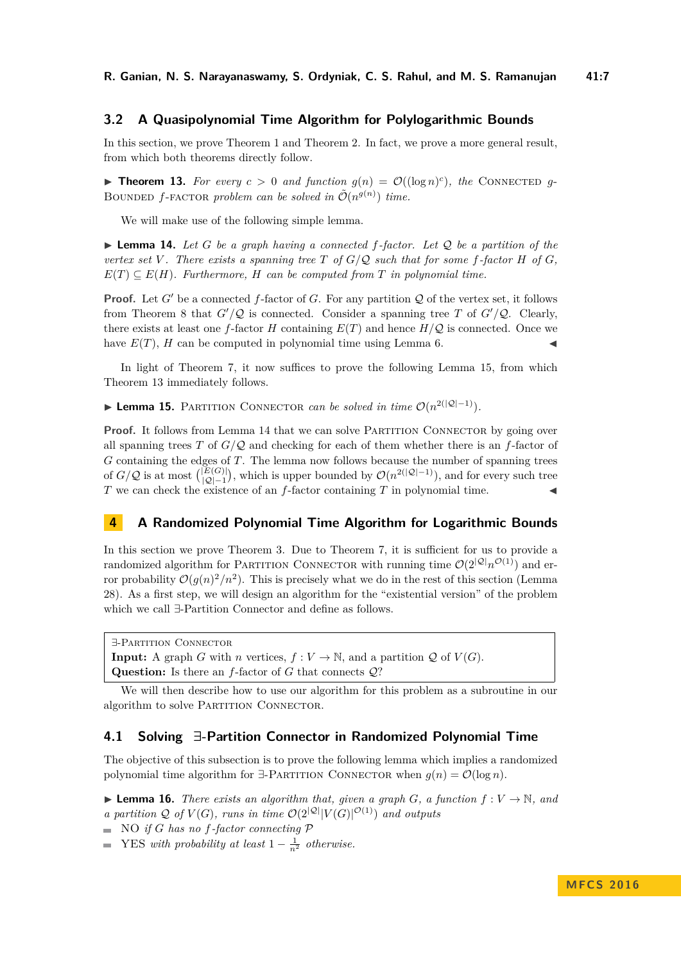## <span id="page-6-0"></span>**3.2 A Quasipolynomial Time Algorithm for Polylogarithmic Bounds**

In this section, we prove Theorem [1](#page-2-2) and Theorem [2.](#page-2-0) In fact, we prove a more general result, from which both theorems directly follow.

<span id="page-6-3"></span>**Fineorem 13.** For every  $c > 0$  and function  $g(n) = \mathcal{O}((\log n)^c)$ , the CONNECTED g-BOUNDED *f*-FACTOR *problem can be solved in*  $\tilde{\mathcal{O}}(n^{g(n)})$  *time.* 

We will make use of the following simple lemma.

<span id="page-6-4"></span> $\blacktriangleright$  **Lemma 14.** Let G be a graph having a connected f-factor. Let Q be a partition of the *vertex set*  $V$ *. There exists a spanning tree*  $T$  *of*  $G/O$  *such that for some f-factor*  $H$  *of*  $G$ *,*  $E(T) \subseteq E(H)$ *. Furthermore, H can be computed from T in polynomial time.* 

**Proof.** Let *G*<sup> $\prime$ </sup> be a connected *f*-factor of *G*. For any partition *Q* of the vertex set, it follows from Theorem [8](#page-4-1) that  $G'/Q$  is connected. Consider a spanning tree *T* of  $G'/Q$ . Clearly, there exists at least one *f*-factor *H* containing  $E(T)$  and hence  $H/Q$  is connected. Once we have  $E(T)$ , *H* can be computed in polynomial time using Lemma [6.](#page-3-1)

In light of Theorem [7,](#page-4-0) it now suffices to prove the following Lemma [15,](#page-6-2) from which Theorem [13](#page-6-3) immediately follows.

<span id="page-6-2"></span>**► Lemma 15.** PARTITION CONNECTOR *can be solved in time*  $\mathcal{O}(n^{2(|\mathcal{Q}|-1)})$ *.* 

**Proof.** It follows from Lemma [14](#page-6-4) that we can solve PARTITION CONNECTOR by going over all spanning trees *T* of  $G/Q$  and checking for each of them whether there is an *f*-factor of *G* containing the edges of *T*. The lemma now follows because the number of spanning trees of  $G/Q$  is at most  $\binom{|E(G)|}{|O|-1}$  $\frac{|E(G)|}{|Q|-1}$ , which is upper bounded by  $\mathcal{O}(n^{2(|Q|-1)})$ , and for every such tree *T* we can check the existence of an  $f$ -factor containing  $T$  in polynomial time.

# <span id="page-6-1"></span>**4 A Randomized Polynomial Time Algorithm for Logarithmic Bounds**

In this section we prove Theorem [3.](#page-2-1) Due to Theorem [7,](#page-4-0) it is sufficient for us to provide a randomized algorithm for PARTITION CONNECTOR with running time  $\mathcal{O}(2^{|\mathcal{Q}|}n^{\mathcal{O}(1)})$  and error probability  $\mathcal{O}(g(n)^2/n^2)$ . This is precisely what we do in the rest of this section (Lemma [28\)](#page-10-0). As a first step, we will design an algorithm for the "existential version" of the problem which we call ∃-Partition Connector and define as follows.

∃-Partition Connector **Input:** A graph *G* with *n* vertices,  $f: V \to \mathbb{N}$ , and a partition *Q* of  $V(G)$ . **Question:** Is there an *f*-factor of *G* that connects Q?

We will then describe how to use our algorithm for this problem as a subroutine in our algorithm to solve PARTITION CONNECTOR.

### **4.1 Solving ∃-Partition Connector in Randomized Polynomial Time**

The objective of this subsection is to prove the following lemma which implies a randomized polynomial time algorithm for  $\exists$ -PARTITION CONNECTOR when  $g(n) = \mathcal{O}(\log n)$ .

<span id="page-6-5"></span> $\triangleright$  **Lemma 16.** *There exists an algorithm that, given a graph G, a function*  $f: V \to \mathbb{N}$ *, and a partition*  $\mathcal Q$  *of*  $V(G)$ *, runs in time*  $\mathcal O(2^{|\mathcal Q|}|V(G)|^{\mathcal O(1)})$  *and outputs* 

 $\blacksquare$  NO *if G* has no *f*-factor connecting  $P$ 

 $YES with probability at least 1 - \frac{1}{n^2} otherwise.$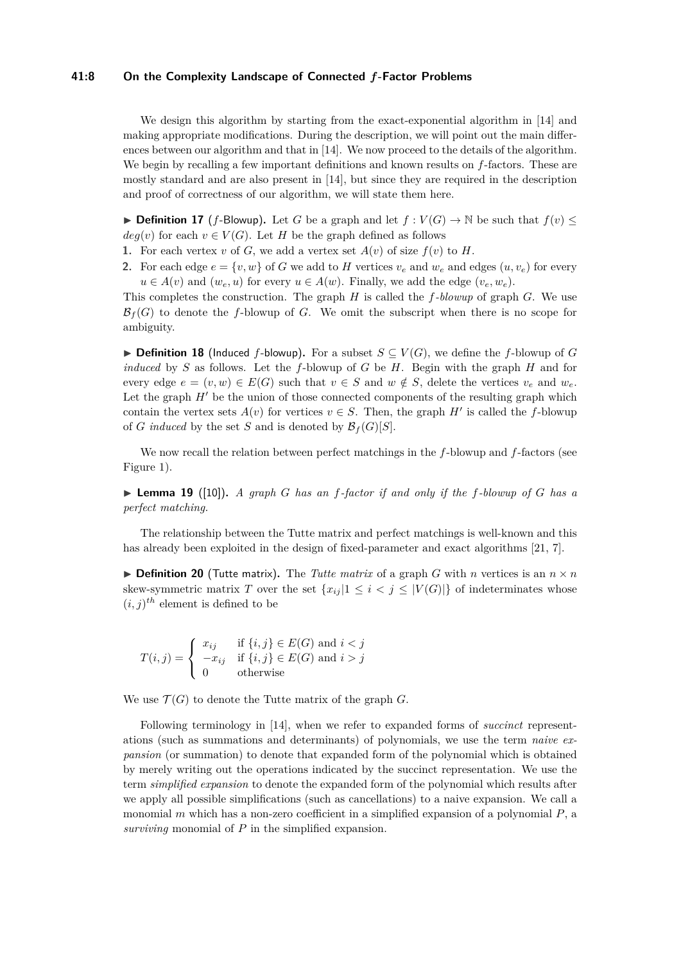#### **41:8 On the Complexity Landscape of Connected** *f***-Factor Problems**

We design this algorithm by starting from the exact-exponential algorithm in [\[14\]](#page-12-12) and making appropriate modifications. During the description, we will point out the main differences between our algorithm and that in [\[14\]](#page-12-12). We now proceed to the details of the algorithm. We begin by recalling a few important definitions and known results on *f*-factors. These are mostly standard and are also present in [\[14\]](#page-12-12), but since they are required in the description and proof of correctness of our algorithm, we will state them here.

<span id="page-7-0"></span>▶ **Definition 17** (*f*-Blowup). Let *G* be a graph and let  $f: V(G) \to \mathbb{N}$  be such that  $f(v)$  ≤  $deg(v)$  for each  $v \in V(G)$ . Let *H* be the graph defined as follows

- **1.** For each vertex *v* of *G*, we add a vertex set  $A(v)$  of size  $f(v)$  to *H*.
- **2.** For each edge  $e = \{v, w\}$  of *G* we add to *H* vertices  $v_e$  and  $w_e$  and edges  $(u, v_e)$  for every  $u \in A(v)$  and  $(w_e, u)$  for every  $u \in A(w)$ . Finally, we add the edge  $(v_e, w_e)$ .

This completes the construction. The graph *H* is called the *f-blowup* of graph *G*. We use  $\mathcal{B}_f(G)$  to denote the *f*-blowup of *G*. We omit the subscript when there is no scope for ambiguity.

**► Definition 18** (Induced *f*-blowup). For a subset  $S \subseteq V(G)$ , we define the *f*-blowup of *G induced* by *S* as follows. Let the *f*-blowup of *G* be *H*. Begin with the graph *H* and for every edge  $e = (v, w) \in E(G)$  such that  $v \in S$  and  $w \notin S$ , delete the vertices  $v_e$  and  $w_e$ . Let the graph  $H'$  be the union of those connected components of the resulting graph which contain the vertex sets  $A(v)$  for vertices  $v \in S$ . Then, the graph  $H'$  is called the *f*-blowup of *G* induced by the set *S* and is denoted by  $\mathcal{B}_f(G)[S]$ .

We now recall the relation between perfect matchings in the *f*-blowup and *f*-factors (see Figure [1\)](#page-8-0).

 $\triangleright$  **Lemma 19** ([\[10\]](#page-12-15)). *A graph G has an f-factor if and only if the f-blowup of G has a perfect matching.*

The relationship between the Tutte matrix and perfect matchings is well-known and this has already been exploited in the design of fixed-parameter and exact algorithms [\[21,](#page-13-4) [7\]](#page-12-11).

 $\triangleright$  **Definition 20** (Tutte matrix). The *Tutte matrix* of a graph *G* with *n* vertices is an  $n \times n$ skew-symmetric matrix *T* over the set  ${x_{ij}} |1 \leq i < j \leq |V(G)|$  of indeterminates whose  $(i, j)$ <sup>th</sup> element is defined to be

$$
T(i,j) = \begin{cases} x_{ij} & \text{if } \{i,j\} \in E(G) \text{ and } i < j \\ -x_{ij} & \text{if } \{i,j\} \in E(G) \text{ and } i > j \\ 0 & \text{otherwise} \end{cases}
$$

We use  $\mathcal{T}(G)$  to denote the Tutte matrix of the graph  $G$ .

Following terminology in [\[14\]](#page-12-12), when we refer to expanded forms of *succinct* representations (such as summations and determinants) of polynomials, we use the term *naive expansion* (or summation) to denote that expanded form of the polynomial which is obtained by merely writing out the operations indicated by the succinct representation. We use the term *simplified expansion* to denote the expanded form of the polynomial which results after we apply all possible simplifications (such as cancellations) to a naive expansion. We call a monomial *m* which has a non-zero coefficient in a simplified expansion of a polynomial *P*, a *surviving* monomial of *P* in the simplified expansion.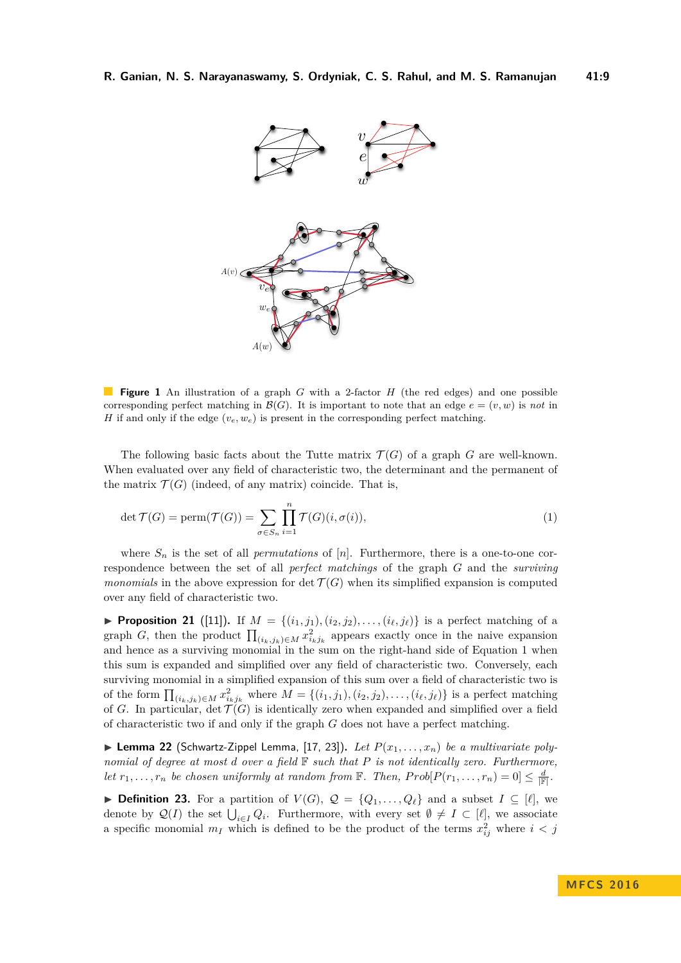<span id="page-8-0"></span>

**Figure 1** An illustration of a graph *G* with a 2-factor *H* (the red edges) and one possible corresponding perfect matching in  $\mathcal{B}(G)$ . It is important to note that an edge  $e = (v, w)$  is *not* in *H* if and only if the edge  $(v_e, w_e)$  is present in the corresponding perfect matching.

The following basic facts about the Tutte matrix  $\mathcal{T}(G)$  of a graph G are well-known. When evaluated over any field of characteristic two, the determinant and the permanent of the matrix  $\mathcal{T}(G)$  (indeed, of any matrix) coincide. That is,

<span id="page-8-1"></span>
$$
\det \mathcal{T}(G) = \text{perm}(\mathcal{T}(G)) = \sum_{\sigma \in S_n} \prod_{i=1}^n \mathcal{T}(G)(i, \sigma(i)),\tag{1}
$$

where  $S_n$  is the set of all *permutations* of  $[n]$ . Furthermore, there is a one-to-one correspondence between the set of all *perfect matchings* of the graph *G* and the *surviving monomials* in the above expression for  $\det \mathcal{T}(G)$  when its simplified expansion is computed over any field of characteristic two.

▶ **Proposition 21** ([\[11\]](#page-12-16)). If  $M = \{(i_1, j_1), (i_2, j_2), \ldots, (i_{\ell}, j_{\ell})\}$  is a perfect matching of a graph *G*, then the product  $\prod_{(i_k,j_k)\in M} x_{i_kj_k}^2$  appears exactly once in the naive expansion and hence as a surviving monomial in the sum on the right-hand side of [Equation 1](#page-8-1) when this sum is expanded and simplified over any field of characteristic two. Conversely, each surviving monomial in a simplified expansion of this sum over a field of characteristic two is of the form  $\prod_{(i_k,j_k)\in M} x_{i_kj_k}^2$  where  $M = \{(i_1,j_1),(i_2,j_2),\ldots,(i_\ell,j_\ell)\}\)$  is a perfect matching of *G*. In particular, det  $\mathcal{T}(G)$  is identically zero when expanded and simplified over a field of characteristic two if and only if the graph *G* does not have a perfect matching.

 $\blacktriangleright$  **Lemma 22** (Schwartz-Zippel Lemma, [\[17,](#page-12-17) [23\]](#page-13-5)). Let  $P(x_1, \ldots, x_n)$  be a multivariate poly*nomial of degree at most d over a field* F *such that P is not identically zero. Furthermore, let*  $r_1, \ldots, r_n$  *be chosen uniformly at random from*  $\mathbb{F}$ *. Then,*  $Prob[P(r_1, \ldots, r_n) = 0] \leq \frac{d}{|\mathbb{F}|}$ *.* 

▶ **Definition 23.** For a partition of  $V(G)$ ,  $Q = \{Q_1, \ldots, Q_\ell\}$  and a subset  $I \subseteq [\ell]$ , we denote by  $\mathcal{Q}(I)$  the set  $\bigcup_{i\in I} Q_i$ . Furthermore, with every set  $\emptyset \neq I \subset [\ell]$ , we associate a specific monomial  $m_I$  which is defined to be the product of the terms  $x_{ij}^2$  where  $i < j$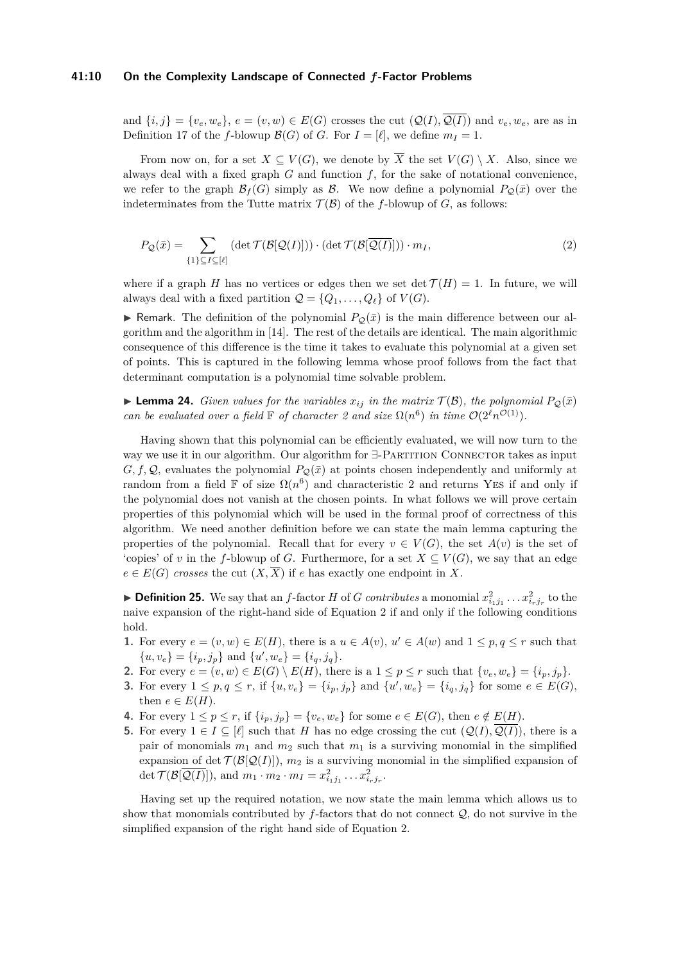#### **41:10 On the Complexity Landscape of Connected** *f***-Factor Problems**

and  $\{i, j\} = \{v_e, w_e\}, e = (v, w) \in E(G)$  crosses the cut  $(Q(I), \overline{Q(I)})$  and  $v_e, w_e$ , are as in Definition [17](#page-7-0) of the *f*-blowup  $\mathcal{B}(G)$  of *G*. For  $I = [\ell]$ , we define  $m_I = 1$ .

From now on, for a set  $X \subseteq V(G)$ , we denote by  $\overline{X}$  the set  $V(G) \setminus X$ . Also, since we always deal with a fixed graph *G* and function *f*, for the sake of notational convenience, we refer to the graph  $\mathcal{B}_f(G)$  simply as  $\mathcal{B}$ . We now define a polynomial  $P_{\mathcal{O}}(\bar{x})$  over the indeterminates from the Tutte matrix  $\mathcal{T}(\mathcal{B})$  of the *f*-blowup of *G*, as follows:

<span id="page-9-0"></span>
$$
P_{\mathcal{Q}}(\bar{x}) = \sum_{\{1\} \subseteq I \subseteq [\ell]} (\det \mathcal{T}(\mathcal{B}[\mathcal{Q}(I)])) \cdot (\det \mathcal{T}(\mathcal{B}[\overline{\mathcal{Q}(I)}])) \cdot m_I,
$$
\n(2)

where if a graph *H* has no vertices or edges then we set det  $\mathcal{T}(H) = 1$ . In future, we will always deal with a fixed partition  $Q = \{Q_1, \ldots, Q_\ell\}$  of  $V(G)$ .

**If Remark.** The definition of the polynomial  $P_{\mathcal{Q}}(\bar{x})$  is the main difference between our algorithm and the algorithm in [\[14\]](#page-12-12). The rest of the details are identical. The main algorithmic consequence of this difference is the time it takes to evaluate this polynomial at a given set of points. This is captured in the following lemma whose proof follows from the fact that determinant computation is a polynomial time solvable problem.

**Example 124.** Given values for the variables  $x_{ij}$  in the matrix  $\mathcal{T}(\mathcal{B})$ , the polynomial  $P_{\mathcal{Q}}(\bar{x})$ *can be evaluated over a field*  $\mathbb F$  *of character 2 and size*  $\Omega(n^6)$  *in time*  $\mathcal{O}(2^{\ell}n^{\mathcal{O}(1)})$ *.* 

Having shown that this polynomial can be efficiently evaluated, we will now turn to the way we use it in our algorithm. Our algorithm for  $\exists$ -PARTITION CONNECTOR takes as input *G, f, Q,* evaluates the polynomial  $P_{\mathcal{Q}}(\bar{x})$  at points chosen independently and uniformly at random from a field  $\mathbb F$  of size  $\Omega(n^6)$  and characteristic 2 and returns YES if and only if the polynomial does not vanish at the chosen points. In what follows we will prove certain properties of this polynomial which will be used in the formal proof of correctness of this algorithm. We need another definition before we can state the main lemma capturing the properties of the polynomial. Recall that for every  $v \in V(G)$ , the set  $A(v)$  is the set of 'copies' of *v* in the *f*-blowup of *G*. Furthermore, for a set  $X \subseteq V(G)$ , we say that an edge  $e \in E(G)$  *crosses* the cut  $(X,\overline{X})$  if *e* has exactly one endpoint in X.

**Definition 25.** We say that an *f*-factor *H* of *G contributes* a monomial  $x_{i_1j_1}^2 \ldots x_{i_rj_r}^2$  to the naive expansion of the right-hand side of [Equation 2](#page-9-0) if and only if the following conditions hold.

- **1.** For every  $e = (v, w) \in E(H)$ , there is a  $u \in A(v)$ ,  $u' \in A(w)$  and  $1 \leq p, q \leq r$  such that  $\{u, v_e\} = \{i_p, j_p\}$  and  $\{u', w_e\} = \{i_q, j_q\}.$
- **2.** For every  $e = (v, w) \in E(G) \setminus E(H)$ , there is a  $1 \leq p \leq r$  such that  $\{v_e, w_e\} = \{i_p, j_p\}.$
- **3.** For every  $1 \le p, q \le r$ , if  $\{u, v_e\} = \{i_p, j_p\}$  and  $\{u', w_e\} = \{i_q, j_q\}$  for some  $e \in E(G)$ , then  $e \in E(H)$ .
- **4.** For every  $1 \leq p \leq r$ , if  $\{i_p, j_p\} = \{v_e, w_e\}$  for some  $e \in E(G)$ , then  $e \notin E(H)$ .
- **5.** For every  $1 \in I \subseteq [\ell]$  such that *H* has no edge crossing the cut  $(Q(I), \overline{Q(I)})$ , there is a pair of monomials  $m_1$  and  $m_2$  such that  $m_1$  is a surviving monomial in the simplified expansion of det  $\mathcal{T}(\mathcal{B}[\mathcal{Q}(I)]), m_2$  is a surviving monomial in the simplified expansion of det  $\mathcal{T}(\mathcal{B}[\overline{\mathcal{Q}(I)}])$ , and  $m_1 \cdot m_2 \cdot m_I = x_{i_1 j_1}^2 \dots x_{i_r j_r}^2$ .

Having set up the required notation, we now state the main lemma which allows us to show that monomials contributed by *f*-factors that do not connect Q, do not survive in the simplified expansion of the right hand side of [Equation 2.](#page-9-0)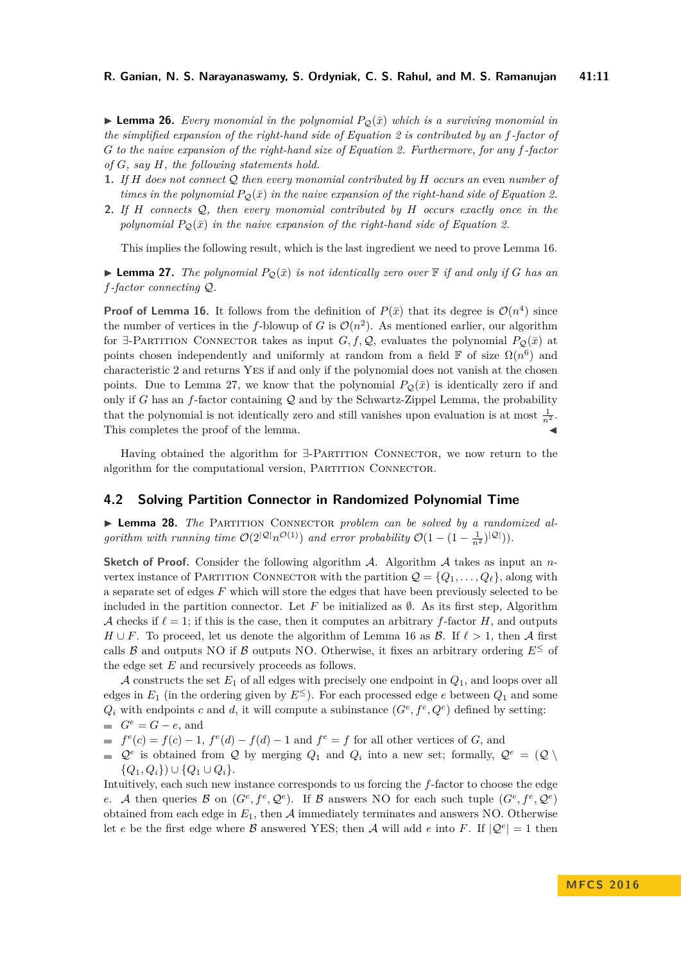**I Lemma 26.** Every monomial in the polynomial  $P_{\mathcal{O}}(\bar{x})$  which is a surviving monomial in *the simplified expansion of the right-hand side of [Equation 2](#page-9-0) is contributed by an f-factor of G to the naive expansion of the right-hand size of [Equation 2.](#page-9-0) Furthermore, for any f-factor of G, say H, the following statements hold.*

- **1.** *If H does not connect* Q *then every monomial contributed by H occurs an* even *number of times in the polynomial*  $P_{\mathcal{O}}(\bar{x})$  *in the naive expansion of the right-hand side of [Equation 2.](#page-9-0)*
- **2.** *If H connects* Q*, then every monomial contributed by H occurs exactly once in the polynomial*  $P_{\mathcal{Q}}(\bar{x})$  *in the naive expansion of the right-hand side of [Equation 2.](#page-9-0)*

This implies the following result, which is the last ingredient we need to prove Lemma [16.](#page-6-5)

<span id="page-10-1"></span>**Example 27.** The polynomial  $P_{\mathcal{O}}(\bar{x})$  is not identically zero over  $\mathbb{F}$  if and only if G has an *f-factor connecting* Q*.*

**Proof of Lemma [16.](#page-6-5)** It follows from the definition of  $P(\bar{x})$  that its degree is  $O(n^4)$  since the number of vertices in the *f*-blowup of *G* is  $\mathcal{O}(n^2)$ . As mentioned earlier, our algorithm for  $\exists$ -PARTITION CONNECTOR takes as input *G, f, Q*, evaluates the polynomial  $P_Q(\bar{x})$  at points chosen independently and uniformly at random from a field  $\mathbb F$  of size  $\Omega(n^6)$  and characteristic 2 and returns Yes if and only if the polynomial does not vanish at the chosen points. Due to Lemma [27,](#page-10-1) we know that the polynomial  $P_{\mathcal{Q}}(\bar{x})$  is identically zero if and only if *G* has an  $f$ -factor containing  $Q$  and by the Schwartz-Zippel Lemma, the probability that the polynomial is not identically zero and still vanishes upon evaluation is at most  $\frac{1}{n^2}$ . This completes the proof of the lemma.

Having obtained the algorithm for  $\exists$ -PARTITION CONNECTOR, we now return to the algorithm for the computational version, PARTITION CONNECTOR.

### **4.2 Solving Partition Connector in Randomized Polynomial Time**

<span id="page-10-0"></span>► Lemma 28. The PARTITION CONNECTOR *problem can be solved by a randomized algorithm with running time*  $\mathcal{O}(2^{|\mathcal{Q}|} n^{\mathcal{O}(1)})$  *and error probability*  $\mathcal{O}(1 - (1 - \frac{1}{n^2})^{|\mathcal{Q}|})$ *)*.

**Sketch of Proof.** Consider the following algorithm A. Algorithm A takes as input an *n*vertex instance of PARTITION CONNECTOR with the partition  $\mathcal{Q} = \{Q_1, \ldots, Q_\ell\}$ , along with a separate set of edges *F* which will store the edges that have been previously selected to be included in the partition connector. Let  $F$  be initialized as  $\emptyset$ . As its first step, Algorithm A checks if  $\ell = 1$ ; if this is the case, then it computes an arbitrary *f*-factor *H*, and outputs *H* ∪ *F*. To proceed, let us denote the algorithm of Lemma [16](#page-6-5) as *B*. If  $\ell > 1$ , then A first calls B and outputs NO if B outputs NO. Otherwise, it fixes an arbitrary ordering  $E^{\leq}$  of the edge set *E* and recursively proceeds as follows.

A constructs the set *E*<sup>1</sup> of all edges with precisely one endpoint in *Q*1, and loops over all edges in  $E_1$  (in the ordering given by  $E^{\leq}$ ). For each processed edge *e* between  $Q_1$  and some  $Q_i$  with endpoints *c* and *d*, it will compute a subinstance  $(G^e, f^e, Q^e)$  defined by setting:  $G^e = G - e$ , and

 $f^e(c) = f(c) - 1$ ,  $f^e(d) - f(d) - 1$  and  $f^e = f$  for all other vertices of *G*, and

 $\mathcal{Q}^e$  is obtained from  $\mathcal Q$  by merging  $Q_1$  and  $Q_i$  into a new set; formally,  $\mathcal{Q}^e = (\mathcal{Q} \setminus$ {*Q*1*, Qi*}) ∪ {*Q*<sup>1</sup> ∪ *Qi*}.

Intuitively, each such new instance corresponds to us forcing the *f*-factor to choose the edge *e*. A then queries B on  $(G^e, f^e, \mathcal{Q}^e)$ . If B answers NO for each such tuple  $(G^e, f^e, \mathcal{Q}^e)$ obtained from each edge in  $E_1$ , then  $A$  immediately terminates and answers NO. Otherwise let *e* be the first edge where B answered YES; then A will add *e* into F. If  $|Q^e| = 1$  then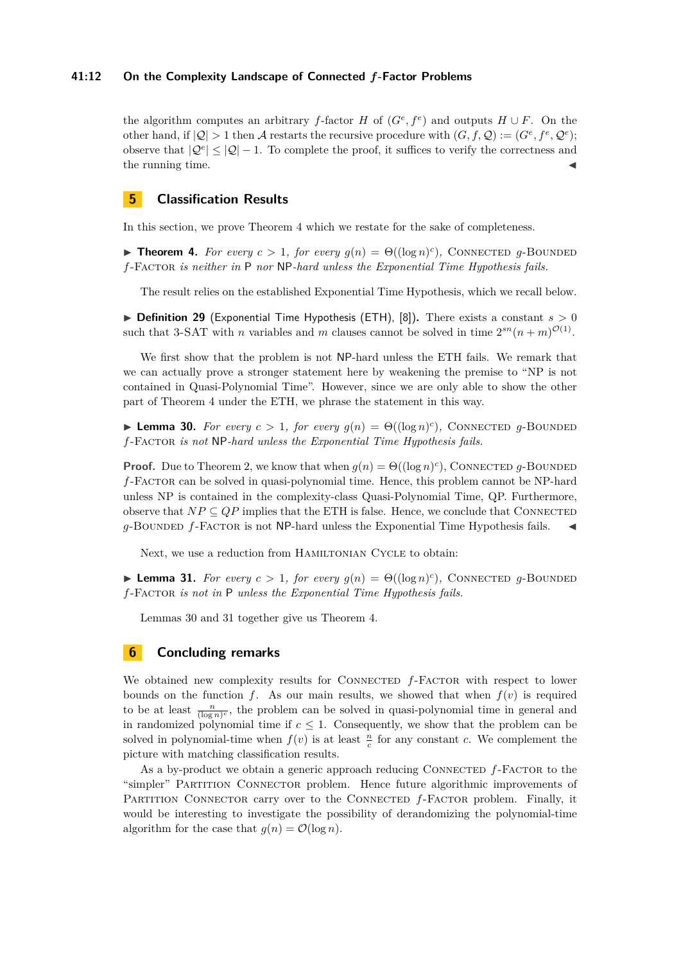### **41:12 On the Complexity Landscape of Connected** *f***-Factor Problems**

the algorithm computes an arbitrary *f*-factor *H* of  $(G^e, f^e)$  and outputs  $H \cup F$ . On the other hand, if  $|Q| > 1$  then A restarts the recursive procedure with  $(G, f, Q) := (G^e, f^e, Q^e);$ observe that  $|Q^e| \leq |Q| - 1$ . To complete the proof, it suffices to verify the correctness and the running time.

# <span id="page-11-0"></span>**5 Classification Results**

In this section, we prove Theorem [4](#page-2-4) which we restate for the sake of completeness.

**Fineorem 4.** For every  $c > 1$ , for every  $g(n) = \Theta((\log n)^c)$ , CONNECTED g-BOUNDED *f*-Factor *is neither in* P *nor* NP*-hard unless the Exponential Time Hypothesis fails.*

The result relies on the established Exponential Time Hypothesis, which we recall below.

 $\triangleright$  **Definition 29** (Exponential Time Hypothesis (ETH), [\[8\]](#page-12-13)). There exists a constant  $s > 0$ such that 3-SAT with *n* variables and *m* clauses cannot be solved in time  $2^{sn}(n+m)^{\mathcal{O}(1)}$ .

We first show that the problem is not NP-hard unless the ETH fails. We remark that we can actually prove a stronger statement here by weakening the premise to "NP is not contained in Quasi-Polynomial Time". However, since we are only able to show the other part of Theorem [4](#page-2-4) under the ETH, we phrase the statement in this way.

<span id="page-11-1"></span>**Lemma 30.** For every  $c > 1$ , for every  $g(n) = \Theta((\log n)^c)$ , CONNECTED g-BOUNDED *f*-Factor *is not* NP*-hard unless the Exponential Time Hypothesis fails.*

**Proof.** Due to Theorem [2,](#page-2-0) we know that when  $g(n) = \Theta((\log n)^c)$ , CONNECTED *g*-BOUNDED *f*-Factor can be solved in quasi-polynomial time. Hence, this problem cannot be NP-hard unless NP is contained in the complexity-class Quasi-Polynomial Time, QP. Furthermore, observe that  $NP \subseteq QP$  implies that the ETH is false. Hence, we conclude that CONNECTED  $q$ -BOUNDED  $f$ -FACTOR is not NP-hard unless the Exponential Time Hypothesis fails.  $\blacktriangleleft$ 

Next, we use a reduction from HAMILTONIAN CYCLE to obtain:

<span id="page-11-2"></span>**Lemma 31.** For every  $c > 1$ , for every  $g(n) = \Theta((\log n)^c)$ , CONNECTED g-BOUNDED *f*-Factor *is not in* P *unless the Exponential Time Hypothesis fails.*

Lemmas [30](#page-11-1) and [31](#page-11-2) together give us Theorem [4.](#page-2-4)

## **6 Concluding remarks**

We obtained new complexity results for CONNECTED  $f$ -FACTOR with respect to lower bounds on the function  $f$ . As our main results, we showed that when  $f(v)$  is required to be at least  $\frac{n}{(\log n)^c}$ , the problem can be solved in quasi-polynomial time in general and in randomized polynomial time if  $c \leq 1$ . Consequently, we show that the problem can be solved in polynomial-time when  $f(v)$  is at least  $\frac{n}{c}$  for any constant *c*. We complement the picture with matching classification results.

As a by-product we obtain a generic approach reducing CONNECTED  $f$ -FACTOR to the "simpler" PARTITION CONNECTOR problem. Hence future algorithmic improvements of PARTITION CONNECTOR carry over to the CONNECTED  $f$ -FACTOR problem. Finally, it would be interesting to investigate the possibility of derandomizing the polynomial-time algorithm for the case that  $g(n) = \mathcal{O}(\log n)$ .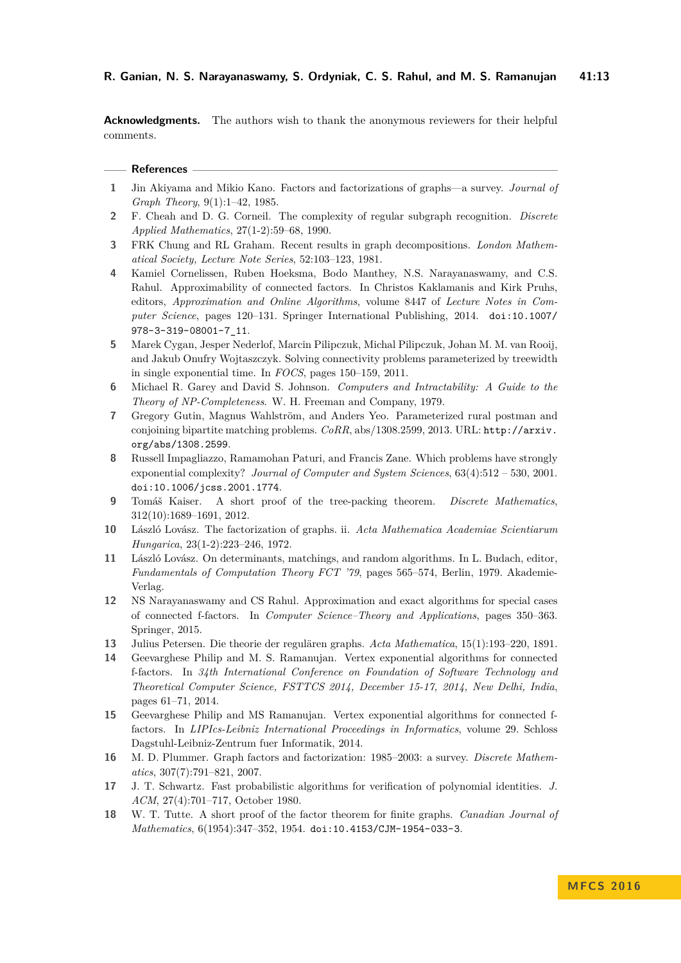**Acknowledgments.** The authors wish to thank the anonymous reviewers for their helpful comments.

### **References**

- <span id="page-12-4"></span>**1** Jin Akiyama and Mikio Kano. Factors and factorizations of graphs—a survey. *Journal of Graph Theory*, 9(1):1–42, 1985.
- <span id="page-12-7"></span>**2** F. Cheah and D. G. Corneil. The complexity of regular subgraph recognition. *Discrete Applied Mathematics*, 27(1-2):59–68, 1990.
- <span id="page-12-3"></span>**3** FRK Chung and RL Graham. Recent results in graph decompositions. *London Mathematical Society, Lecture Note Series*, 52:103–123, 1981.
- <span id="page-12-1"></span>**4** Kamiel Cornelissen, Ruben Hoeksma, Bodo Manthey, N.S. Narayanaswamy, and C.S. Rahul. Approximability of connected factors. In Christos Kaklamanis and Kirk Pruhs, editors, *Approximation and Online Algorithms*, volume 8447 of *Lecture Notes in Computer Science*, pages 120–131. Springer International Publishing, 2014. [doi:10.1007/](http://dx.doi.org/10.1007/978-3-319-08001-7_11) [978-3-319-08001-7\\_11](http://dx.doi.org/10.1007/978-3-319-08001-7_11).
- <span id="page-12-10"></span>**5** Marek Cygan, Jesper Nederlof, Marcin Pilipczuk, Michal Pilipczuk, Johan M. M. van Rooij, and Jakub Onufry Wojtaszczyk. Solving connectivity problems parameterized by treewidth in single exponential time. In *FOCS*, pages 150–159, 2011.
- <span id="page-12-6"></span>**6** Michael R. Garey and David S. Johnson. *Computers and Intractability: A Guide to the Theory of NP-Completeness*. W. H. Freeman and Company, 1979.
- <span id="page-12-11"></span>**7** Gregory Gutin, Magnus Wahlström, and Anders Yeo. Parameterized rural postman and conjoining bipartite matching problems. *CoRR*, abs/1308.2599, 2013. URL: [http://arxiv.](http://arxiv.org/abs/1308.2599) [org/abs/1308.2599](http://arxiv.org/abs/1308.2599).
- <span id="page-12-13"></span>**8** Russell Impagliazzo, Ramamohan Paturi, and Francis Zane. Which problems have strongly exponential complexity? *Journal of Computer and System Sciences*, 63(4):512 – 530, 2001. [doi:10.1006/jcss.2001.1774](http://dx.doi.org/10.1006/jcss.2001.1774).
- <span id="page-12-14"></span>**9** Tomáš Kaiser. A short proof of the tree-packing theorem. *Discrete Mathematics*, 312(10):1689–1691, 2012.
- <span id="page-12-15"></span>**10** László Lovász. The factorization of graphs. ii. *Acta Mathematica Academiae Scientiarum Hungarica*, 23(1-2):223–246, 1972.
- <span id="page-12-16"></span>**11** László Lovász. On determinants, matchings, and random algorithms. In L. Budach, editor, *Fundamentals of Computation Theory FCT '79*, pages 565–574, Berlin, 1979. Akademie-Verlag.
- <span id="page-12-9"></span>**12** NS Narayanaswamy and CS Rahul. Approximation and exact algorithms for special cases of connected f-factors. In *Computer Science–Theory and Applications*, pages 350–363. Springer, 2015.
- <span id="page-12-0"></span>**13** Julius Petersen. Die theorie der regulären graphs. *Acta Mathematica*, 15(1):193–220, 1891.
- <span id="page-12-12"></span>**14** Geevarghese Philip and M. S. Ramanujan. Vertex exponential algorithms for connected f-factors. In *34th International Conference on Foundation of Software Technology and Theoretical Computer Science, FSTTCS 2014, December 15-17, 2014, New Delhi, India*, pages 61–71, 2014.
- <span id="page-12-8"></span>**15** Geevarghese Philip and MS Ramanujan. Vertex exponential algorithms for connected ffactors. In *LIPIcs-Leibniz International Proceedings in Informatics*, volume 29. Schloss Dagstuhl-Leibniz-Zentrum fuer Informatik, 2014.
- <span id="page-12-5"></span>**16** M. D. Plummer. Graph factors and factorization: 1985–2003: a survey. *Discrete Mathematics*, 307(7):791–821, 2007.
- <span id="page-12-17"></span>**17** J. T. Schwartz. Fast probabilistic algorithms for verification of polynomial identities. *J. ACM*, 27(4):701–717, October 1980.
- <span id="page-12-2"></span>**18** W. T. Tutte. A short proof of the factor theorem for finite graphs. *Canadian Journal of Mathematics*, 6(1954):347–352, 1954. [doi:10.4153/CJM-1954-033-3](http://dx.doi.org/10.4153/CJM-1954-033-3).